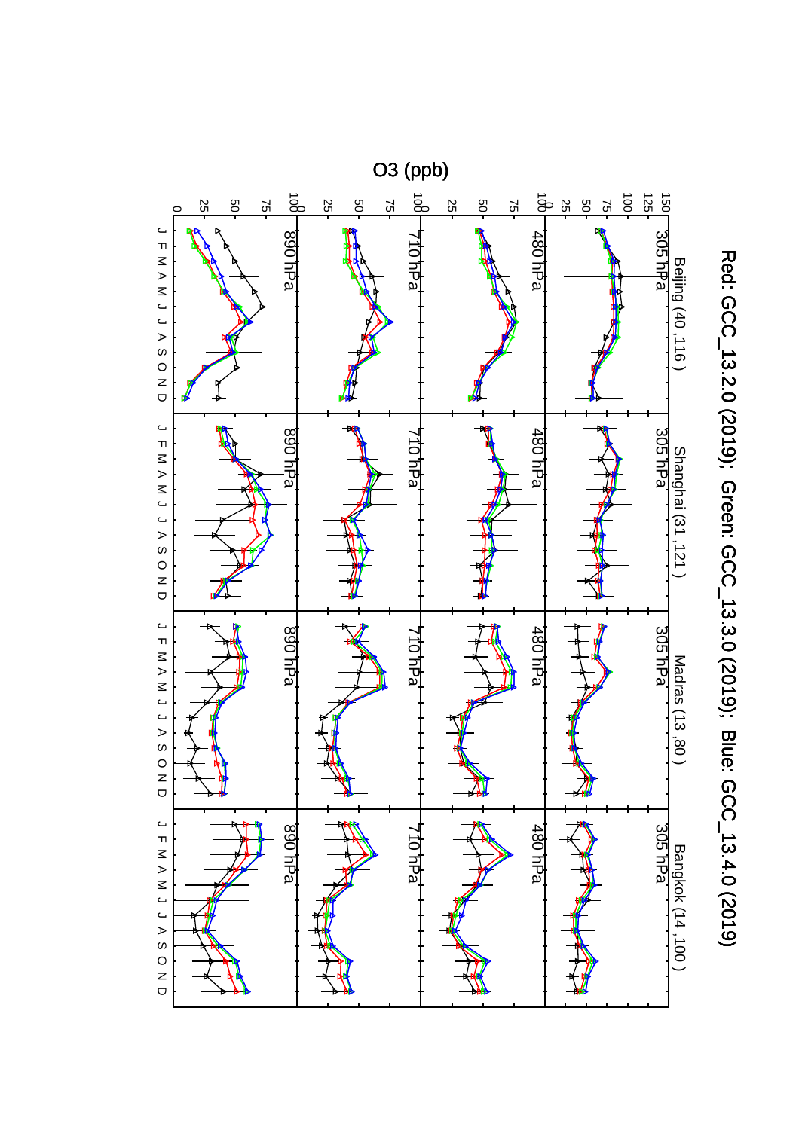

Red: GCC\_13.2.0 (2019); Green: GCC\_13.3.0 (2019); Blue: GCC\_13.4.0 (2019) Red: GCC\_13.2.0 (2019); Green: GCC\_13.3.0 (2019); Blue: GCC\_13.4.0 (2019)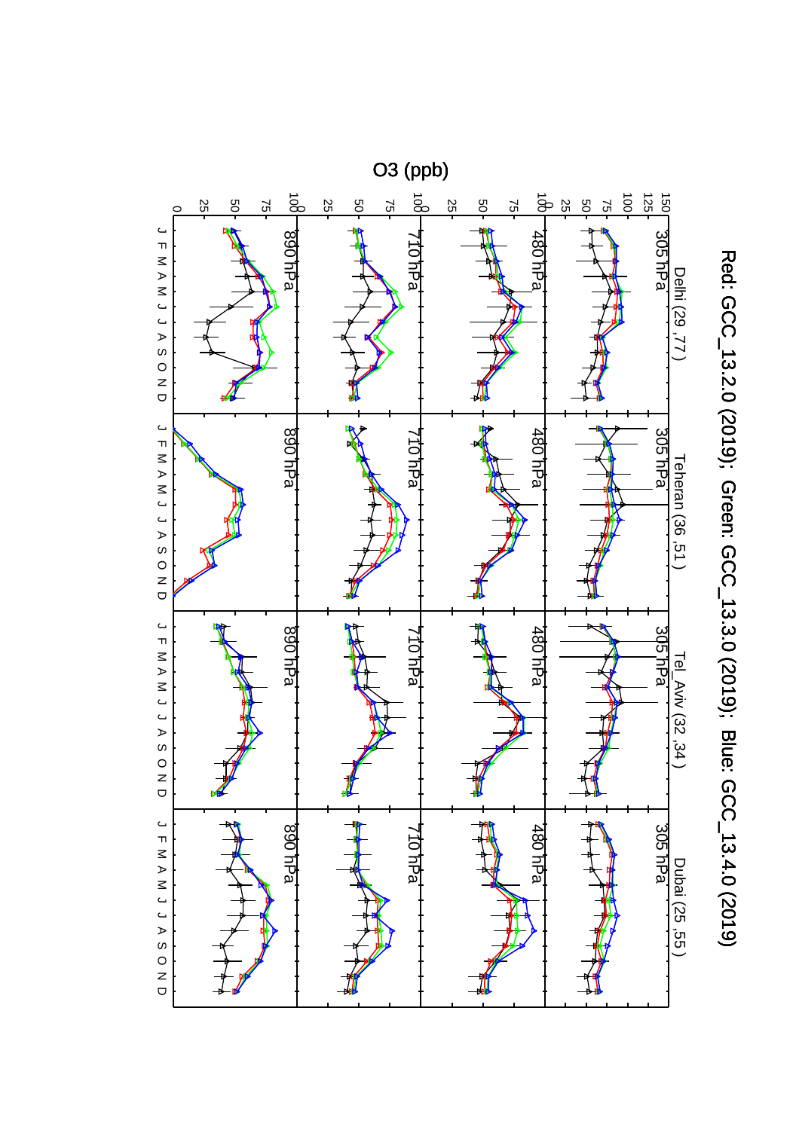

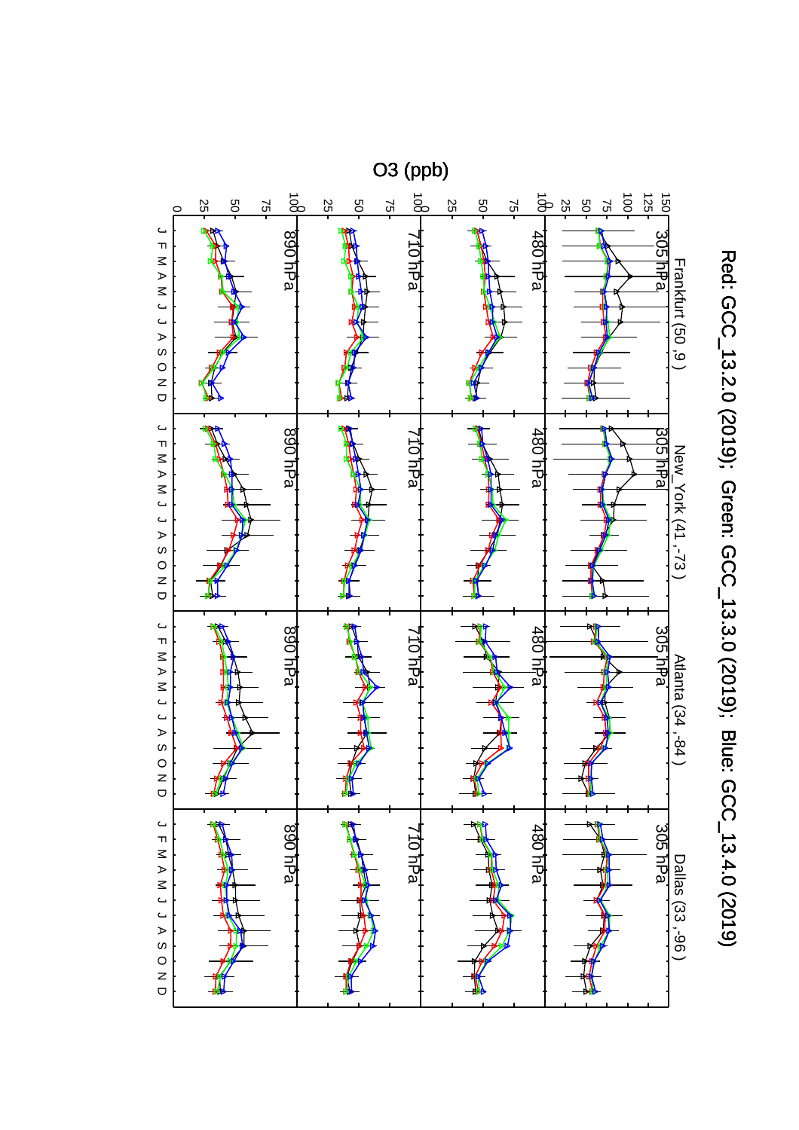

Red: GCC\_13.2.0 (2019); Green: GCC\_13.3.0 (2019); Blue: GCC\_13.4.0 (2019) Red: GCC\_13.2.0 (2019); Green: GCC\_13.3.0 (2019); Blue: GCC\_13.4.0 (2019)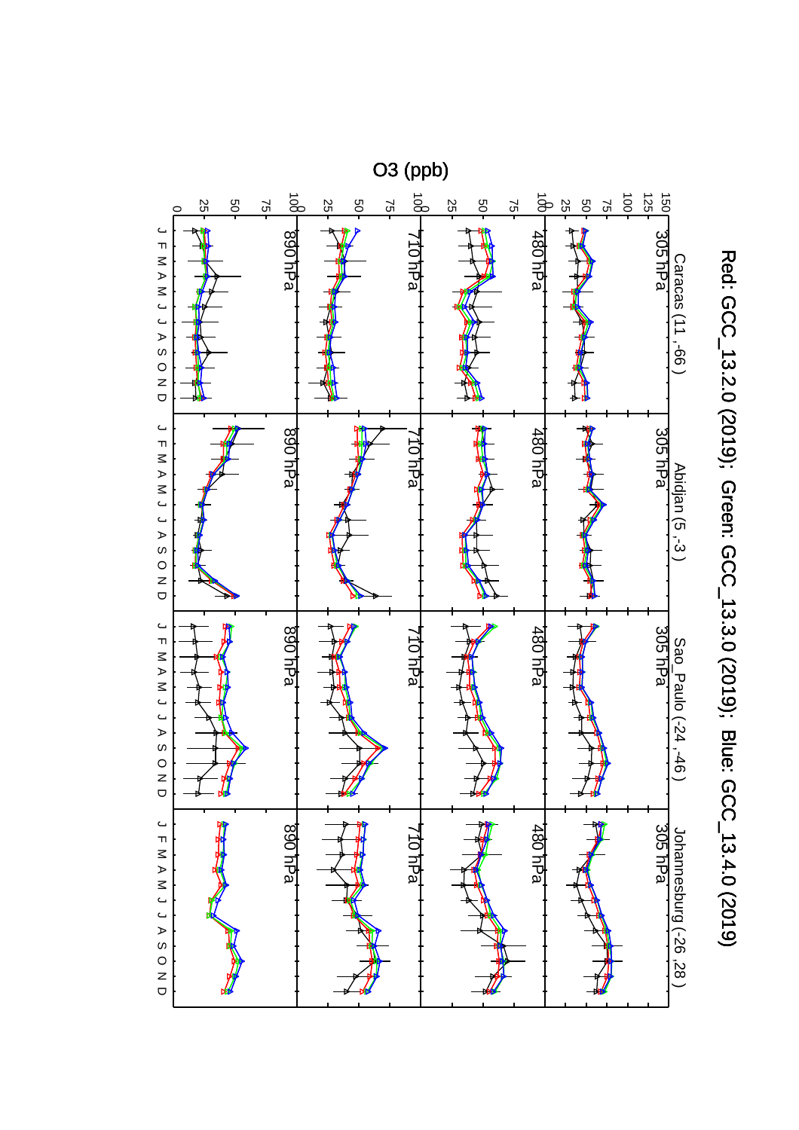

Red: GCC\_13.2.0 (2019); Green: GCC\_13.3.0 (2019); Blue: GCC\_13.4.0 (2019) Red: GCC\_13.2.0 (2019); Green: GCC\_13.3.0 (2019); Blue: GCC\_13.4.0 (2019)